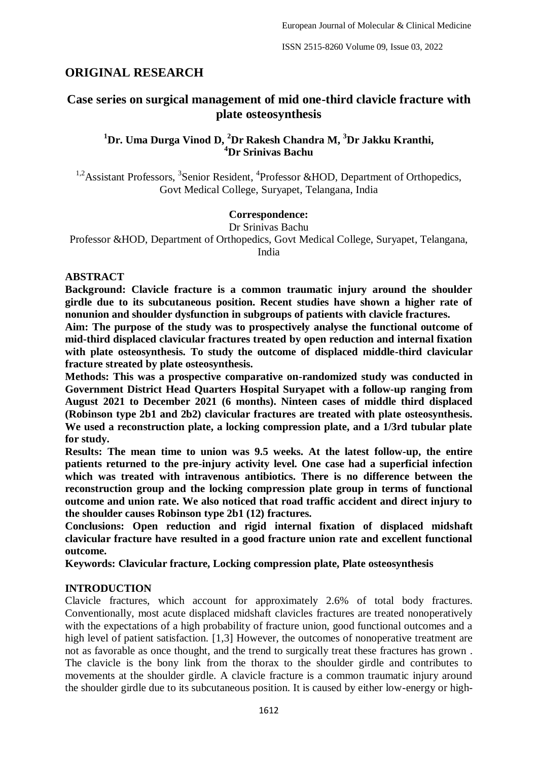# **ORIGINAL RESEARCH**

# **Case series on surgical management of mid one-third clavicle fracture with plate osteosynthesis**

## **<sup>1</sup>Dr. Uma Durga Vinod D, <sup>2</sup>Dr Rakesh Chandra M, <sup>3</sup>Dr Jakku Kranthi, <sup>4</sup>Dr Srinivas Bachu**

<sup>1,2</sup> Assistant Professors, <sup>3</sup> Senior Resident, <sup>4</sup> Professor & HOD, Department of Orthopedics, Govt Medical College, Suryapet, Telangana, India

### **Correspondence:**

Dr Srinivas Bachu Professor &HOD, Department of Orthopedics, Govt Medical College, Suryapet, Telangana, India

#### **ABSTRACT**

**Background: Clavicle fracture is a common traumatic injury around the shoulder girdle due to its subcutaneous position. Recent studies have shown a higher rate of nonunion and shoulder dysfunction in subgroups of patients with clavicle fractures.** 

**Aim: The purpose of the study was to prospectively analyse the functional outcome of mid-third displaced clavicular fractures treated by open reduction and internal fixation with plate osteosynthesis. To study the outcome of displaced middle-third clavicular fracture streated by plate osteosynthesis.** 

**Methods: This was a prospective comparative on-randomized study was conducted in Government District Head Quarters Hospital Suryapet with a follow-up ranging from August 2021 to December 2021 (6 months). Ninteen cases of middle third displaced (Robinson type 2b1 and 2b2) clavicular fractures are treated with plate osteosynthesis. We used a reconstruction plate, a locking compression plate, and a 1/3rd tubular plate for study.** 

**Results: The mean time to union was 9.5 weeks. At the latest follow-up, the entire patients returned to the pre-injury activity level. One case had a superficial infection which was treated with intravenous antibiotics. There is no difference between the reconstruction group and the locking compression plate group in terms of functional outcome and union rate. We also noticed that road traffic accident and direct injury to the shoulder causes Robinson type 2b1 (12) fractures.**

**Conclusions: Open reduction and rigid internal fixation of displaced midshaft clavicular fracture have resulted in a good fracture union rate and excellent functional outcome.**

**Keywords: Clavicular fracture, Locking compression plate, Plate osteosynthesis**

#### **INTRODUCTION**

Clavicle fractures, which account for approximately 2.6% of total body fractures. Conventionally, most acute displaced midshaft clavicles fractures are treated nonoperatively with the expectations of a high probability of fracture union, good functional outcomes and a high level of patient satisfaction. [1,3] However, the outcomes of nonoperative treatment are not as favorable as once thought, and the trend to surgically treat these fractures has grown . The clavicle is the bony link from the thorax to the shoulder girdle and contributes to movements at the shoulder girdle. A clavicle fracture is a common traumatic injury around the shoulder girdle due to its subcutaneous position. It is caused by either low-energy or high-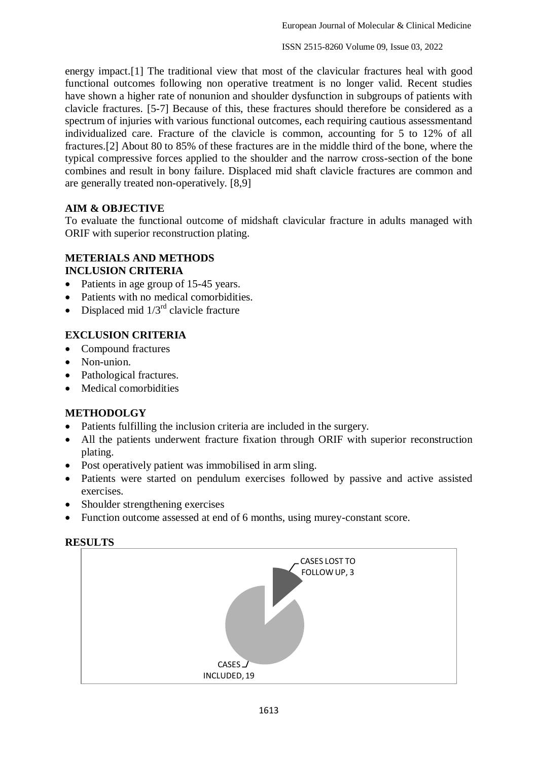ISSN 2515-8260 Volume 09, Issue 03, 2022

energy impact.[1] The traditional view that most of the clavicular fractures heal with good functional outcomes following non operative treatment is no longer valid. Recent studies have shown a higher rate of nonunion and shoulder dysfunction in subgroups of patients with clavicle fractures. [5-7] Because of this, these fractures should therefore be considered as a spectrum of injuries with various functional outcomes, each requiring cautious assessmentand individualized care. Fracture of the clavicle is common, accounting for 5 to 12% of all fractures.[2] About 80 to 85% of these fractures are in the middle third of the bone, where the typical compressive forces applied to the shoulder and the narrow cross-section of the bone combines and result in bony failure. Displaced mid shaft clavicle fractures are common and are generally treated non-operatively. [8,9]

## **AIM & OBJECTIVE**

To evaluate the functional outcome of midshaft clavicular fracture in adults managed with ORIF with superior reconstruction plating.

#### **METERIALS AND METHODS INCLUSION CRITERIA**

- Patients in age group of 15-45 years.
- Patients with no medical comorbidities.
- Displaced mid  $1/3^{rd}$  clavicle fracture

## **EXCLUSION CRITERIA**

- Compound fractures
- Non-union.
- Pathological fractures.
- Medical comorbidities

#### **METHODOLGY**

- Patients fulfilling the inclusion criteria are included in the surgery.
- All the patients underwent fracture fixation through ORIF with superior reconstruction plating.
- Post operatively patient was immobilised in arm sling.
- Patients were started on pendulum exercises followed by passive and active assisted exercises.
- Shoulder strengthening exercises
- Function outcome assessed at end of 6 months, using murey-constant score.

| <b>RESULTS</b> |
|----------------|
|                |

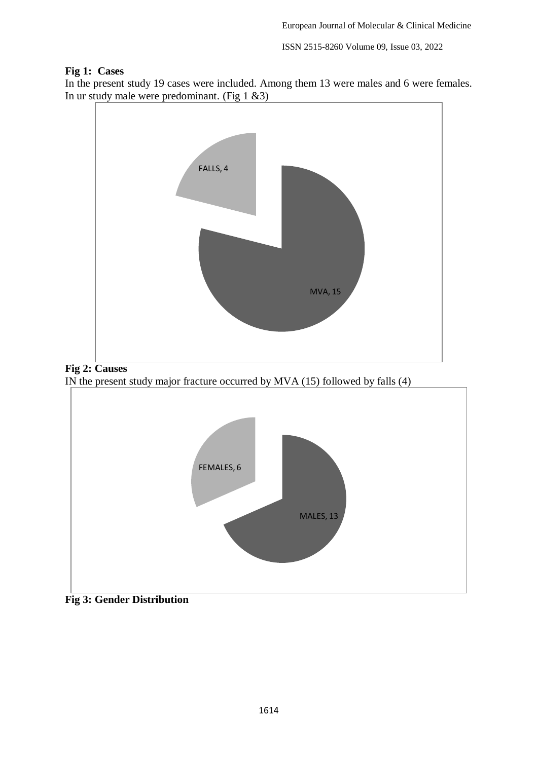ISSN 2515-8260 Volume 09, Issue 03, 2022

#### **Fig 1: Cases**

In the present study 19 cases were included. Among them 13 were males and 6 were females. In ur study male were predominant. (Fig 1 &3)





IN the present study major fracture occurred by MVA (15) followed by falls (4)



**Fig 3: Gender Distribution**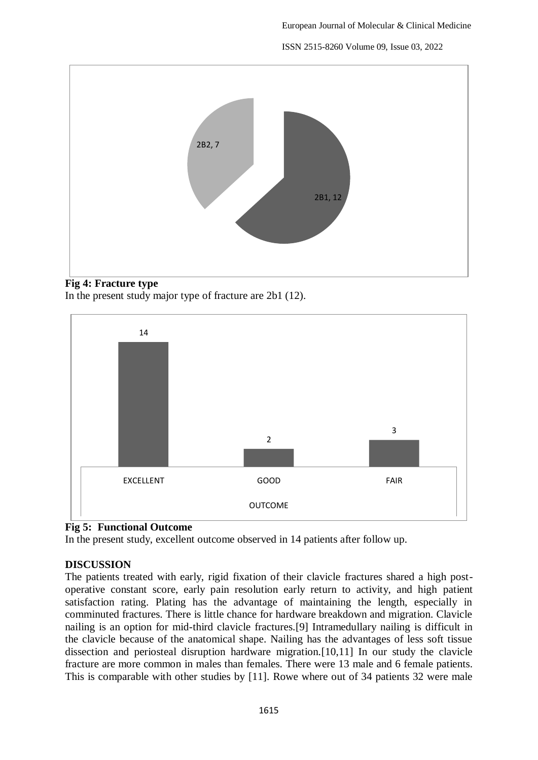ISSN 2515-8260 Volume 09, Issue 03, 2022



## **Fig 4: Fracture type**

In the present study major type of fracture are 2b1 (12).



## **Fig 5: Functional Outcome**

In the present study, excellent outcome observed in 14 patients after follow up.

## **DISCUSSION**

The patients treated with early, rigid fixation of their clavicle fractures shared a high postoperative constant score, early pain resolution early return to activity, and high patient satisfaction rating. Plating has the advantage of maintaining the length, especially in comminuted fractures. There is little chance for hardware breakdown and migration. Clavicle nailing is an option for mid-third clavicle fractures.[9] Intramedullary nailing is difficult in the clavicle because of the anatomical shape. Nailing has the advantages of less soft tissue dissection and periosteal disruption hardware migration.[10,11] In our study the clavicle fracture are more common in males than females. There were 13 male and 6 female patients. This is comparable with other studies by [11]. Rowe where out of 34 patients 32 were male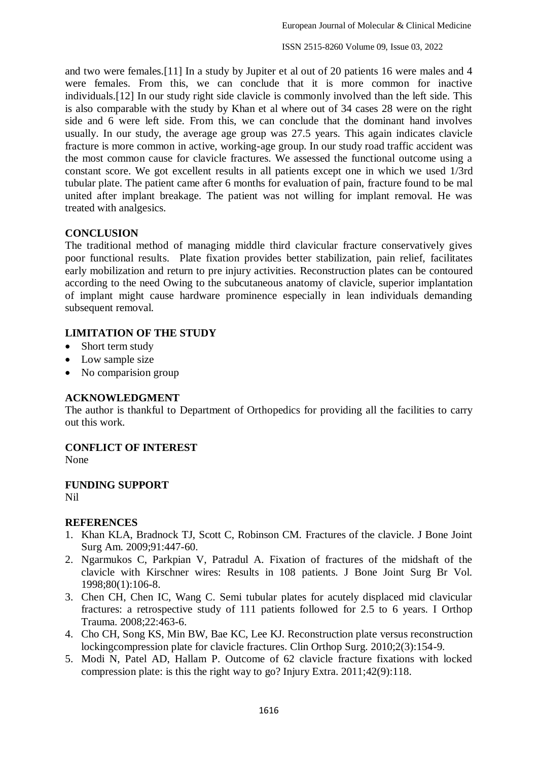and two were females.[11] In a study by Jupiter et al out of 20 patients 16 were males and 4 were females. From this, we can conclude that it is more common for inactive individuals.[12] In our study right side clavicle is commonly involved than the left side. This is also comparable with the study by Khan et al where out of 34 cases 28 were on the right side and 6 were left side. From this, we can conclude that the dominant hand involves usually. In our study, the average age group was 27.5 years. This again indicates clavicle fracture is more common in active, working-age group. In our study road traffic accident was the most common cause for clavicle fractures. We assessed the functional outcome using a constant score. We got excellent results in all patients except one in which we used 1/3rd tubular plate. The patient came after 6 months for evaluation of pain, fracture found to be mal united after implant breakage. The patient was not willing for implant removal. He was treated with analgesics.

#### **CONCLUSION**

The traditional method of managing middle third clavicular fracture conservatively gives poor functional results. Plate fixation provides better stabilization, pain relief, facilitates early mobilization and return to pre injury activities. Reconstruction plates can be contoured according to the need Owing to the subcutaneous anatomy of clavicle, superior implantation of implant might cause hardware prominence especially in lean individuals demanding subsequent removal.

### **LIMITATION OF THE STUDY**

- Short term study
- Low sample size
- No comparision group

#### **ACKNOWLEDGMENT**

The author is thankful to Department of Orthopedics for providing all the facilities to carry out this work.

#### **CONFLICT OF INTEREST**

None

**FUNDING SUPPORT** Nil

#### **REFERENCES**

- 1. Khan KLA, Bradnock TJ, Scott C, Robinson CM. Fractures of the clavicle. J Bone Joint Surg Am. 2009;91:447-60.
- 2. Ngarmukos C, Parkpian V, Patradul A. Fixation of fractures of the midshaft of the clavicle with Kirschner wires: Results in 108 patients. J Bone Joint Surg Br Vol. 1998;80(1):106-8.
- 3. Chen CH, Chen IC, Wang C. Semi tubular plates for acutely displaced mid clavicular fractures: a retrospective study of 111 patients followed for 2.5 to 6 years. I Orthop Trauma. 2008;22:463-6.
- 4. Cho CH, Song KS, Min BW, Bae KC, Lee KJ. Reconstruction plate versus reconstruction lockingcompression plate for clavicle fractures. Clin Orthop Surg. 2010;2(3):154-9.
- 5. Modi N, Patel AD, Hallam P. Outcome of 62 clavicle fracture fixations with locked compression plate: is this the right way to go? Injury Extra. 2011;42(9):118.